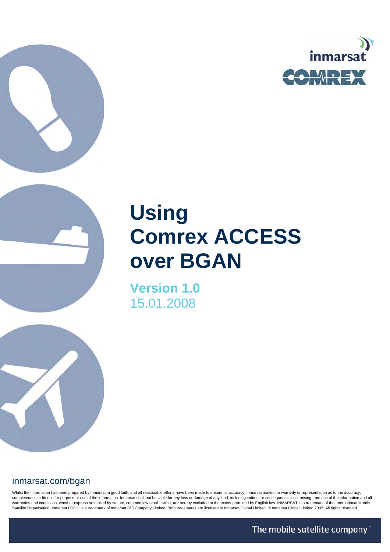

# **Using Comrex ACCESS over BGAN**

**Version 1.0**  15.01.2008

# inmarsat.com/bgan

Whilst the information has been prepared by Inmarsat in good faith, and all reasonable efforts have been made to ensure its accuracy, Inmarsat makes no warranty or representation as to the accuracy, completeness or fitness for purpose or use of the information. Inmarsat shall not be liable for any loss or damage of any kind, including indirect or consequential loss, arising from use of the information and all warranties and conditions, whether express or implied by statute, common law or otherwise, are hereby excluded to the extent permitted by English law. INMARSAT is a trademark of the International Mobile Satellite Organisation, Inmarsat LOGO is a trademark of Inmarsat (IP) Company Limited. Both trademarks are licensed to Inmarsat Global Limited. © Inmarsat Global Limited 2007. All rights reserved.

The mobile satellite company"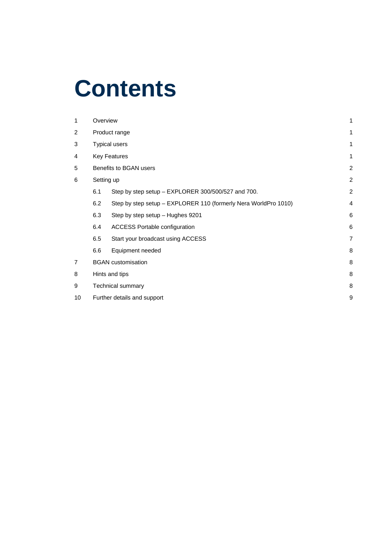# **Contents**

| 1              | Overview                         |                                                                 | 1              |  |
|----------------|----------------------------------|-----------------------------------------------------------------|----------------|--|
| $\overline{2}$ |                                  | Product range                                                   | 1              |  |
| 3              | <b>Typical users</b>             |                                                                 |                |  |
| 4              | <b>Key Features</b>              |                                                                 |                |  |
| 5              | Benefits to BGAN users           |                                                                 |                |  |
| 6              | Setting up                       |                                                                 |                |  |
|                | 6.1                              | Step by step setup - EXPLORER 300/500/527 and 700.              | $\overline{2}$ |  |
|                | 6.2                              | Step by step setup - EXPLORER 110 (formerly Nera WorldPro 1010) | $\overline{4}$ |  |
|                | 6.3                              | Step by step setup - Hughes 9201                                | 6              |  |
|                | 6.4                              | <b>ACCESS Portable configuration</b>                            | 6              |  |
|                | 6.5                              | Start your broadcast using ACCESS                               | 7              |  |
|                | 6.6                              | Equipment needed                                                | 8              |  |
| $\overline{7}$ | <b>BGAN</b> customisation        |                                                                 |                |  |
| 8              | Hints and tips                   |                                                                 |                |  |
| 9              | Technical summary                |                                                                 |                |  |
| 10             | 9<br>Further details and support |                                                                 |                |  |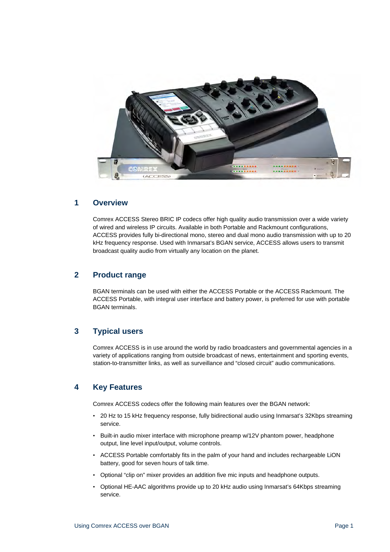

## **1 Overview**

Comrex ACCESS Stereo BRIC IP codecs offer high quality audio transmission over a wide variety of wired and wireless IP circuits. Available in both Portable and Rackmount configurations, ACCESS provides fully bi-directional mono, stereo and dual mono audio transmission with up to 20 kHz frequency response. Used with Inmarsat's BGAN service, ACCESS allows users to transmit broadcast quality audio from virtually any location on the planet.

## **2 Product range**

BGAN terminals can be used with either the ACCESS Portable or the ACCESS Rackmount. The ACCESS Portable, with integral user interface and battery power, is preferred for use with portable BGAN terminals.

# **3 Typical users**

Comrex ACCESS is in use around the world by radio broadcasters and governmental agencies in a variety of applications ranging from outside broadcast of news, entertainment and sporting events, station-to-transmitter links, as well as surveillance and "closed circuit" audio communications.

## **4 Key Features**

Comrex ACCESS codecs offer the following main features over the BGAN network:

- 20 Hz to 15 kHz frequency response, fully bidirectional audio using Inmarsat's 32Kbps streaming service.
- Built-in audio mixer interface with microphone preamp w/12V phantom power, headphone output, line level input/output, volume controls.
- ACCESS Portable comfortably fits in the palm of your hand and includes rechargeable LiON battery, good for seven hours of talk time.
- Optional "clip on" mixer provides an addition five mic inputs and headphone outputs.
- Optional HE-AAC algorithms provide up to 20 kHz audio using Inmarsat's 64Kbps streaming service.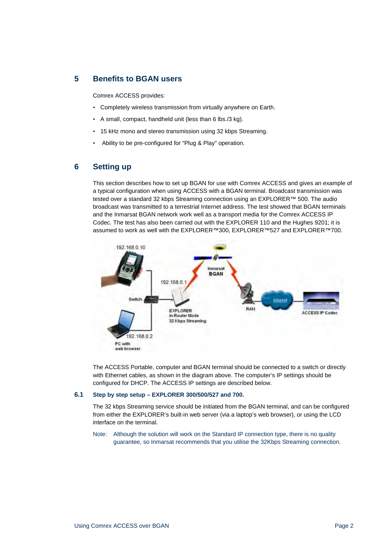## **5 Benefits to BGAN users**

Comrex ACCESS provides:

- Completely wireless transmission from virtually anywhere on Earth.
- A small, compact, handheld unit (less than 6 lbs./3 kg).
- 15 kHz mono and stereo transmission using 32 kbps Streaming.
- Ability to be pre-configured for "Plug & Play" operation.

## **6 Setting up**

This section describes how to set up BGAN for use with Comrex ACCESS and gives an example of a typical configuration when using ACCESS with a BGAN terminal. Broadcast transmission was tested over a standard 32 kbps Streaming connection using an EXPLORER™ 500. The audio broadcast was transmitted to a terrestrial Internet address. The test showed that BGAN terminals and the Inmarsat BGAN network work well as a transport media for the Comrex ACCESS IP Codec. The test has also been carried out with the EXPLORER 110 and the Hughes 9201; it is assumed to work as well with the EXPLORER™300, EXPLORER™527 and EXPLORER™700.



The ACCESS Portable, computer and BGAN terminal should be connected to a switch or directly with Ethernet cables, as shown in the diagram above. The computer's IP settings should be configured for DHCP. The ACCESS IP settings are described below.

#### **6.1 Step by step setup – EXPLORER 300/500/527 and 700.**

The 32 kbps Streaming service should be initiated from the BGAN terminal, and can be configured from either the EXPLORER's built-in web server (via a laptop's web browser), or using the LCD interface on the terminal.

Note:Although the solution will work on the Standard IP connection type, there is no quality guarantee, so Inmarsat recommends that you utilise the 32Kbps Streaming connection.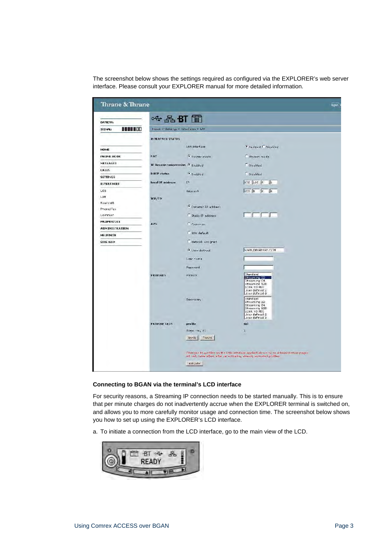The screenshot below shows the settings required as configured via the EXPLORER's web server interface. Please consult your EXPLORER manual for more detailed information.

| Thrane & Thrane                  |                                       |                                   |                                                                                                                                                            | bspo |
|----------------------------------|---------------------------------------|-----------------------------------|------------------------------------------------------------------------------------------------------------------------------------------------------------|------|
| DATIERY:                         | $\sim$ $\frac{1}{2}$ BT $\frac{m}{m}$ |                                   |                                                                                                                                                            |      |
| <b>NONESCO</b><br><b>SIGNAL:</b> | Home > Settings > Interfaces > Dif-   |                                   |                                                                                                                                                            |      |
|                                  |                                       |                                   |                                                                                                                                                            |      |
|                                  | <b>INTERFACE STATUS</b>               |                                   |                                                                                                                                                            |      |
| <b>HOME</b>                      |                                       | LAY interface                     | <b>C</b> Fashled C Disabled                                                                                                                                |      |
| <b>PHONE BOOK</b>                | NAT                                   | · Router mode                     | Modem mode                                                                                                                                                 |      |
| MESSAGES                         | IP Reader compression . Enabled       |                                   | <b>Disabled</b>                                                                                                                                            |      |
| <b>UALLS</b>                     | <b>DHCP status</b>                    |                                   |                                                                                                                                                            |      |
| <b>SETTINGS</b>                  |                                       | <sup>6</sup> Enchled              | <b>O</b> Disabled                                                                                                                                          |      |
| <b>INTERFACES</b>                | Local IP address                      | $I^{\frac{1}{2}}$                 | $102 - 6000$<br>$\frac{1}{2}$                                                                                                                              |      |
| <b>UOB</b>                       |                                       | Netmask                           | 2550000<br>$\sqrt{6}$                                                                                                                                      |      |
| Lan                              | TP/TP                                 |                                   |                                                                                                                                                            |      |
| <b>Bueroth</b>                   |                                       | C Dynamic IP address              |                                                                                                                                                            |      |
| Phone/Fax                        |                                       |                                   |                                                                                                                                                            |      |
| Common                           |                                       | Static IP address                 |                                                                                                                                                            |      |
| <b>PROPERTIES</b>                | <b>APN</b>                            | Common                            |                                                                                                                                                            |      |
| <b>ADMINISTRATION</b>            |                                       | SIM default                       |                                                                                                                                                            |      |
| <b>HELPDESK</b><br>SITE MAP      |                                       | Notwork, assigned                 |                                                                                                                                                            |      |
|                                  |                                       | <b>C</b> User-dofined             | <b>EGAN. INVARSAT.CCM</b>                                                                                                                                  |      |
|                                  |                                       | Leer name                         |                                                                                                                                                            |      |
|                                  |                                       | <b>Dagsucrd</b>                   |                                                                                                                                                            |      |
|                                  | <b>PROFILES</b>                       | Primary                           | <b>Standard</b>                                                                                                                                            |      |
|                                  |                                       |                                   | Stream ng 32<br>Streaming C4<br>Streaming<br>128K NO FEC<br>User defined 2<br>Joer defined 3                                                               |      |
|                                  |                                       | Secondary.                        | biebnafc<br>Streaming 62<br>Stream ng 64<br>Stream ng 128<br>128K 40 FEC<br>Jean defined 2<br>Jser defined 3                                               |      |
|                                  | <b>PROFILE CIDS</b>                   | profile                           | Gd                                                                                                                                                         |      |
|                                  |                                       | Street Ting 32<br>Apoly<br>Cancel | ¥,                                                                                                                                                         |      |
|                                  |                                       | Artisato                          | Changes to profiles on the LAN interface applied above to on Administration pages.<br>will only take effect after re-astivating already associed profiles. |      |

## **Connecting to BGAN via the terminal's LCD interface**

For security reasons, a Streaming IP connection needs to be started manually. This is to ensure that per minute charges do not inadvertently accrue when the EXPLORER terminal is switched on, and allows you to more carefully monitor usage and connection time. The screenshot below shows you how to set up using the EXPLORER's LCD interface.

a. To initiate a connection from the LCD interface, go to the main view of the LCD.

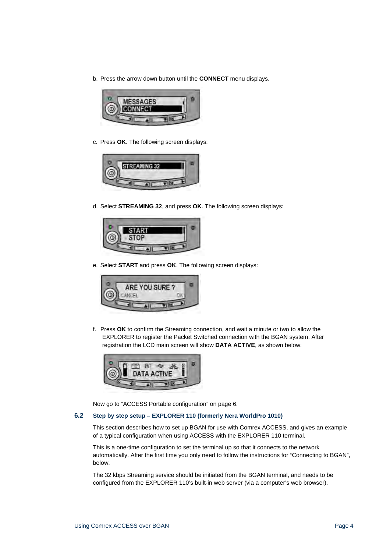b. Press the arrow down button until the **CONNECT** menu displays.



c. Press **OK**. The following screen displays:



d. Select **STREAMING 32**, and press **OK**. The following screen displays:



e. Select **START** and press **OK**. The following screen displays:



f. Press **OK** to confirm the Streaming connection, and wait a minute or two to allow the EXPLORER to register the Packet Switched connection with the BGAN system. After registration the LCD main screen will show **DATA ACTIVE**, as shown below:



Now go to "ACCESS Portable configuration" on page 6.

## **6.2 Step by step setup – EXPLORER 110 (formerly Nera WorldPro 1010)**

This section describes how to set up BGAN for use with Comrex ACCESS, and gives an example of a typical configuration when using ACCESS with the EXPLORER 110 terminal.

This is a one-time configuration to set the terminal up so that it connects to the network automatically. After the first time you only need to follow the instructions for "Connecting to BGAN", below.

The 32 kbps Streaming service should be initiated from the BGAN terminal, and needs to be configured from the EXPLORER 110's built-in web server (via a computer's web browser).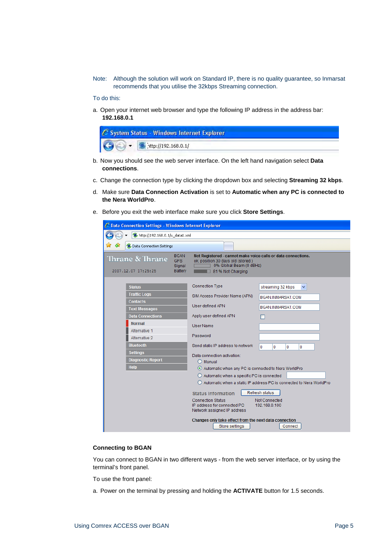Note:Although the solution will work on Standard IP, there is no quality guarantee, so Inmarsat recommends that you utilise the 32kbps Streaming connection.

To do this:

a. Open your internet web browser and type the following IP address in the address bar: **192.168.0.1**

| C System Status - Windows Internet Explorer          |  |
|------------------------------------------------------|--|
| $\bigodot \bigodot$ + $\bigcirc$ http://192.168.0.1/ |  |

- b. Now you should see the web server interface. On the left hand navigation select **Data connections**.
- c. Change the connection type by clicking the dropdown box and selecting **Streaming 32 kbps**.
- d. Make sure **Data Connection Activation** is set to **Automatic when any PC is connected to the Nera WorldPro**.
- e. Before you exit the web interface make sure you click **Store Settings**.

| C Data Connection Settings - Windows Internet Explorer                                                                                                                                                                                          |                                                                                                                                                                                                                                                                                                                                                                                                                                                                                                                                         |  |  |  |
|-------------------------------------------------------------------------------------------------------------------------------------------------------------------------------------------------------------------------------------------------|-----------------------------------------------------------------------------------------------------------------------------------------------------------------------------------------------------------------------------------------------------------------------------------------------------------------------------------------------------------------------------------------------------------------------------------------------------------------------------------------------------------------------------------------|--|--|--|
| ttp://192.168.0.1/u_data1.xml                                                                                                                                                                                                                   |                                                                                                                                                                                                                                                                                                                                                                                                                                                                                                                                         |  |  |  |
| <b>O</b> , Data Connection Settings                                                                                                                                                                                                             |                                                                                                                                                                                                                                                                                                                                                                                                                                                                                                                                         |  |  |  |
| <b>BGAN</b><br>Thrane & Thrane<br><b>GPS</b><br>Signal<br>2007.12.07 17:25:25<br>Battery                                                                                                                                                        | Not Registered - cannot make voice calls or data connections.<br>ok, position 30 days old (stored)<br>0% Global Beam (0 dBHz)<br>81 % Not Charging                                                                                                                                                                                                                                                                                                                                                                                      |  |  |  |
| <b>Status</b><br><b>Traffic Logs</b><br><b>Contacts</b><br><b>Text Messages</b><br><b>Data Connections</b><br><b>Normal</b><br>Alternative 1<br>Alternative 2<br><b>Bluetooth</b><br><b>Settings</b><br><b>Diagnostic Report</b><br><b>Help</b> | <b>Connection Type</b><br>streaming 32 kbps<br>v.<br>SIM Access Provider Name (APN)<br>BGAN.INMARSAT.COM<br>User-defined APN<br>BGAN.INMARSAT.COM<br>Apply user-defined APN<br>User Name<br>Password<br>Send static IP address to network<br>$\Omega$<br>$\Omega$<br>0<br>$\Omega$<br>Data connection activation:<br>$\bigcirc$ Manual<br>Automatic when any PC is connected to Nera WorldPro<br>$\bigcirc$ Automatic when a specific PC is connected<br>$\bigcirc$ Automatic when a static IP address PC is connected to Nera WorldPro |  |  |  |
|                                                                                                                                                                                                                                                 | Refresh status<br><b>Status Information</b><br><b>Connection Status</b><br>Not Connected<br>IP address for connected PC<br>192.168.0.100<br>Network assigned IP address<br>Changes only take effect from the next data connection<br>Store settings<br>Connect                                                                                                                                                                                                                                                                          |  |  |  |

### **Connecting to BGAN**

You can connect to BGAN in two different ways - from the web server interface, or by using the terminal's front panel.

To use the front panel:

a. Power on the terminal by pressing and holding the **ACTIVATE** button for 1.5 seconds.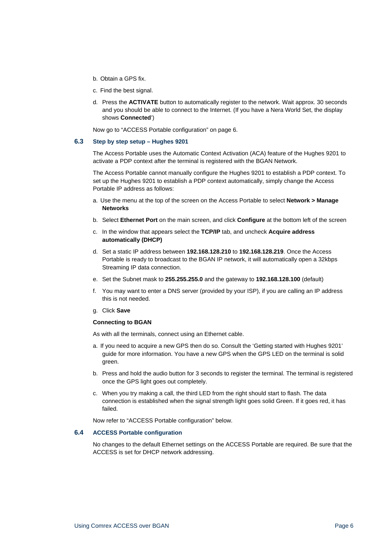- b. Obtain a GPS fix.
- c. Find the best signal.
- d. Press the **ACTIVATE** button to automatically register to the network. Wait approx. 30 seconds and you should be able to connect to the Internet. (If you have a Nera World Set, the display shows **Connected**')

Now go to "ACCESS Portable configuration" on page 6.

#### **6.3 Step by step setup – Hughes 9201**

The Access Portable uses the Automatic Context Activation (ACA) feature of the Hughes 9201 to activate a PDP context after the terminal is registered with the BGAN Network.

The Access Portable cannot manually configure the Hughes 9201 to establish a PDP context. To set up the Hughes 9201 to establish a PDP context automatically, simply change the Access Portable IP address as follows:

- a. Use the menu at the top of the screen on the Access Portable to select **Network > Manage Networks**
- b. Select **Ethernet Port** on the main screen, and click **Configure** at the bottom left of the screen
- c. In the window that appears select the **TCP/IP** tab, and uncheck **Acquire address automatically (DHCP)**
- d. Set a static IP address between **192.168.128.210** to **192.168.128.219**. Once the Access Portable is ready to broadcast to the BGAN IP network, it will automatically open a 32kbps Streaming IP data connection.
- e. Set the Subnet mask to **255.255.255.0** and the gateway to **192.168.128.100** (default)
- f. You may want to enter a DNS server (provided by your ISP), if you are calling an IP address this is not needed.
- g. Click **Save**

#### **Connecting to BGAN**

As with all the terminals, connect using an Ethernet cable.

- a. If you need to acquire a new GPS then do so. Consult the 'Getting started with Hughes 9201' guide for more information. You have a new GPS when the GPS LED on the terminal is solid green.
- b. Press and hold the audio button for 3 seconds to register the terminal. The terminal is registered once the GPS light goes out completely.
- c. When you try making a call, the third LED from the right should start to flash. The data connection is established when the signal strength light goes solid Green. If it goes red, it has failed.

Now refer to "ACCESS Portable configuration" below.

#### **6.4 ACCESS Portable configuration**

No changes to the default Ethernet settings on the ACCESS Portable are required. Be sure that the ACCESS is set for DHCP network addressing.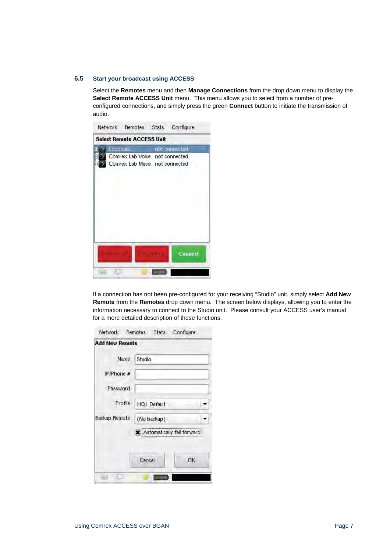## **6.5 Start your broadcast using ACCESS**

Select the **Remotes** menu and then **Manage Connections** from the drop down menu to display the **Select Remote ACCESS Unit** menu. This menu allows you to select from a number of preconfigured connections, and simply press the green **Connect** button to initiate the transmission of audio.



If a connection has not been pre-configured for your receiving "Studio" unit, simply select **Add New Remote** from the **Remotes** drop down menu. The screen below displays, allowing you to enter the information necessary to connect to the Studio unit. Please consult your ACCESS user's manual for a more detailed description of these functions.

| Network Remotes Stats |        |             | Configure                    |  |
|-----------------------|--------|-------------|------------------------------|--|
| <b>Add New Remote</b> |        |             |                              |  |
| Name                  | Studio |             |                              |  |
| IP/Phone #            |        |             |                              |  |
| Password              |        |             |                              |  |
| Profile               |        | HQ1 Default |                              |  |
| Backup Remote         |        | (No backup) |                              |  |
|                       |        |             | X Automatically fall forward |  |
|                       | Cancel |             | OK.                          |  |
|                       |        |             |                              |  |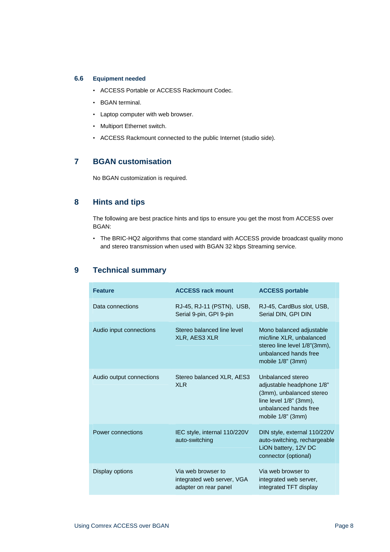## **6.6 Equipment needed**

- ACCESS Portable or ACCESS Rackmount Codec.
- BGAN terminal.
- Laptop computer with web browser.
- Multiport Ethernet switch.
- ACCESS Rackmount connected to the public Internet (studio side).

# **7 BGAN customisation**

No BGAN customization is required.

## **8 Hints and tips**

The following are best practice hints and tips to ensure you get the most from ACCESS over BGAN:

• The BRIC-HQ2 algorithms that come standard with ACCESS provide broadcast quality mono and stereo transmission when used with BGAN 32 kbps Streaming service.

# **9 Technical summary**

| <b>Feature</b>           | <b>ACCESS rack mount</b>                                                  | <b>ACCESS portable</b>                                                                                                                                |  |
|--------------------------|---------------------------------------------------------------------------|-------------------------------------------------------------------------------------------------------------------------------------------------------|--|
| Data connections         | RJ-45, RJ-11 (PSTN), USB,<br>Serial 9-pin, GPI 9-pin                      | RJ-45, CardBus slot, USB,<br>Serial DIN, GPI DIN                                                                                                      |  |
| Audio input connections  | Stereo balanced line level<br>XLR, AES3 XLR                               | Mono balanced adjustable<br>mic/line XLR, unbalanced<br>stereo line level 1/8"(3mm),<br>unbalanced hands free<br>mobile 1/8" (3mm)                    |  |
| Audio output connections | Stereo balanced XLR, AES3<br><b>XLR</b>                                   | Unbalanced stereo<br>adjustable headphone 1/8"<br>(3mm), unbalanced stereo<br>line level $1/8$ " (3mm),<br>unbalanced hands free<br>mobile 1/8" (3mm) |  |
| Power connections        | IEC style, internal 110/220V<br>auto-switching                            | DIN style, external 110/220V<br>auto-switching, rechargeable<br>LION battery, 12V DC<br>connector (optional)                                          |  |
| Display options          | Via web browser to<br>integrated web server, VGA<br>adapter on rear panel | Via web browser to<br>integrated web server,<br>integrated TFT display                                                                                |  |